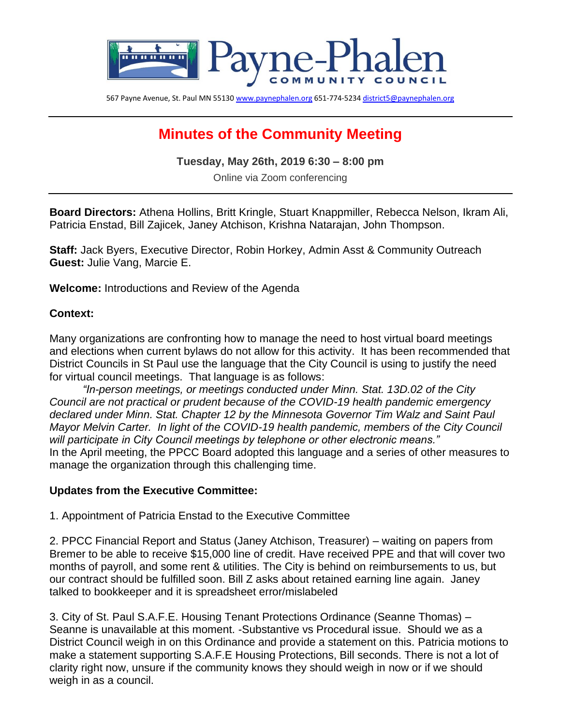

567 Payne Avenue, St. Paul MN 5513[0 www.paynephalen.org](http://www.paynephalen.org/) 651-774-523[4 district5@paynephalen.org](mailto:district5@paynephalen.org)

## **Minutes of the Community Meeting**

**Tuesday, May 26th, 2019 6:30 – 8:00 pm**

Online via Zoom conferencing

**Board Directors:** Athena Hollins, Britt Kringle, Stuart Knappmiller, Rebecca Nelson, Ikram Ali, Patricia Enstad, Bill Zajicek, Janey Atchison, Krishna Natarajan, John Thompson.

**Staff:** Jack Byers, Executive Director, Robin Horkey, Admin Asst & Community Outreach **Guest:** Julie Vang, Marcie E.

**Welcome:** Introductions and Review of the Agenda

## **Context:**

Many organizations are confronting how to manage the need to host virtual board meetings and elections when current bylaws do not allow for this activity. It has been recommended that District Councils in St Paul use the language that the City Council is using to justify the need for virtual council meetings. That language is as follows:

*"In-person meetings, or meetings conducted under Minn. Stat. 13D.02 of the City Council are not practical or prudent because of the COVID-19 health pandemic emergency declared under Minn. Stat. Chapter 12 by the Minnesota Governor Tim Walz and Saint Paul Mayor Melvin Carter. In light of the COVID-19 health pandemic, members of the City Council will participate in City Council meetings by telephone or other electronic means."* In the April meeting, the PPCC Board adopted this language and a series of other measures to manage the organization through this challenging time.

## **Updates from the Executive Committee:**

1. Appointment of Patricia Enstad to the Executive Committee

2. PPCC Financial Report and Status (Janey Atchison, Treasurer) – waiting on papers from Bremer to be able to receive \$15,000 line of credit. Have received PPE and that will cover two months of payroll, and some rent & utilities. The City is behind on reimbursements to us, but our contract should be fulfilled soon. Bill Z asks about retained earning line again. Janey talked to bookkeeper and it is spreadsheet error/mislabeled

3. City of St. Paul S.A.F.E. Housing Tenant Protections Ordinance (Seanne Thomas) – Seanne is unavailable at this moment. -Substantive vs Procedural issue. Should we as a District Council weigh in on this Ordinance and provide a statement on this. Patricia motions to make a statement supporting S.A.F.E Housing Protections, Bill seconds. There is not a lot of clarity right now, unsure if the community knows they should weigh in now or if we should weigh in as a council.